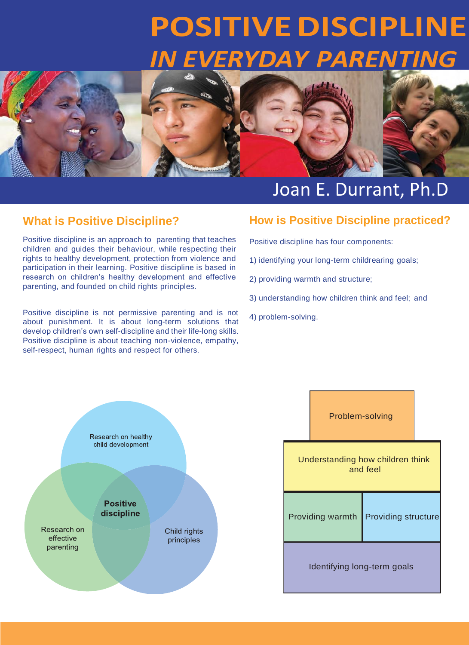# **POSITIVE DISCIPLINE** *IN EVERYDAY PARENTING*



# Joan E. Durrant, Ph.D

# **What is Positive Discipline?**

Positive discipline is an approach to parenting that teaches children and guides their behaviour, while respecting their rights to healthy development, protection from violence and participation in their learning. Positive discipline is based in research on children's healthy development and effective parenting, and founded on child rights principles.

Positive discipline is not permissive parenting and is not about punishment. It is about long-term solutions that develop children's own self-discipline and their life-long skills. Positive discipline is about teaching non-violence, empathy, self-respect, human rights and respect for others.

## **How is Positive Discipline practiced?**

Positive discipline has four components:

- 1) identifying your long-term childrearing goals;
- 2) providing warmth and structure;
- 3) understanding how children think and feel; and
- 4) problem-solving.



|                                              | Problem-solving |                            |  |  |  |
|----------------------------------------------|-----------------|----------------------------|--|--|--|
| Understanding how children think<br>and feel |                 |                            |  |  |  |
| Providing warmth                             |                 | <b>Providing structure</b> |  |  |  |
| Identifying long-term goals                  |                 |                            |  |  |  |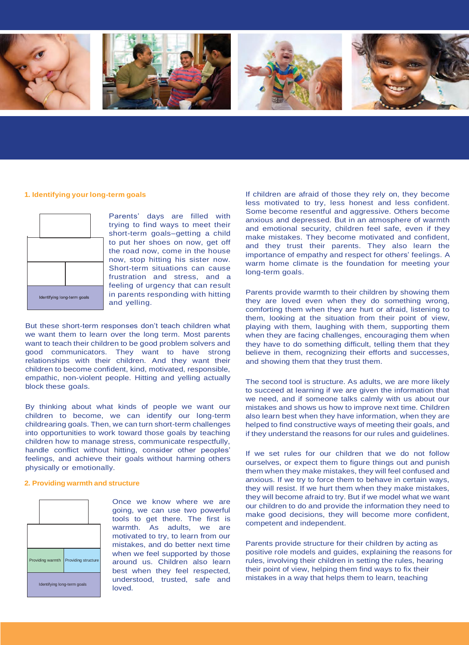

#### **1. Identifying yourlong-term goals**



Parents' days are filled with trying to find ways to meet their short-term goals–getting a child to put her shoes on now, get off the road now, come in the house now, stop hitting his sister now. Short-term situations can cause frustration and stress, and a feeling of urgency that can result in parents responding with hitting and yelling.

But these short-term responses don't teach children what we want them to learn over the long term. Most parents want to teach their children to be good problem solvers and good communicators. They want to have strong relationships with their children. And they want their children to become confident, kind, motivated, responsible, empathic, non-violent people. Hitting and yelling actually block these goals.

By thinking about what kinds of people we want our children to become, we can identify our long-term childrearing goals. Then, we can turn short-term challenges into opportunities to work toward those goals by teaching children how to manage stress, communicate respectfully, handle conflict without hitting, consider other peoples' feelings, and achieve their goals without harming others physically or emotionally.

#### **2. Providing warmth and structure**



Once we know where we are going, we can use two powerful tools to get there. The first is warmth. As adults, we are motivated to try, to learn from our mistakes, and do better next time when we feel supported by those around us. Children also learn best when they feel respected, understood, trusted, safe and loved.

If children are afraid of those they rely on, they become less motivated to try, less honest and less confident. Some become resentful and aggressive. Others become anxious and depressed. But in an atmosphere of warmth and emotional security, children feel safe, even if they make mistakes. They become motivated and confident, and they trust their parents. They also learn the importance of empathy and respect for others' feelings. A warm home climate is the foundation for meeting your long-term goals.

Parents provide warmth to their children by showing them they are loved even when they do something wrong, comforting them when they are hurt or afraid, listening to them, looking at the situation from their point of view, playing with them, laughing with them, supporting them when they are facing challenges, encouraging them when they have to do something difficult, telling them that they believe in them, recognizing their efforts and successes, and showing them that they trust them.

The second tool is structure. As adults, we are more likely to succeed at learning if we are given the information that we need, and if someone talks calmly with us about our mistakes and shows us how to improve next time. Children also learn best when they have information, when they are helped to find constructive ways of meeting their goals, and if they understand the reasons for our rules and guidelines.

If we set rules for our children that we do not follow ourselves, or expect them to figure things out and punish them when they make mistakes, they will feel confused and anxious. If we try to force them to behave in certain ways, they will resist. If we hurt them when they make mistakes, they will become afraid to try. But if we model what we want our children to do and provide the information they need to make good decisions, they will become more confident, competent and independent.

Parents provide structure for their children by acting as positive role models and guides, explaining the reasons for rules, involving their children in setting the rules, hearing their point of view, helping them find ways to fix their mistakes in a way that helps them to learn, teaching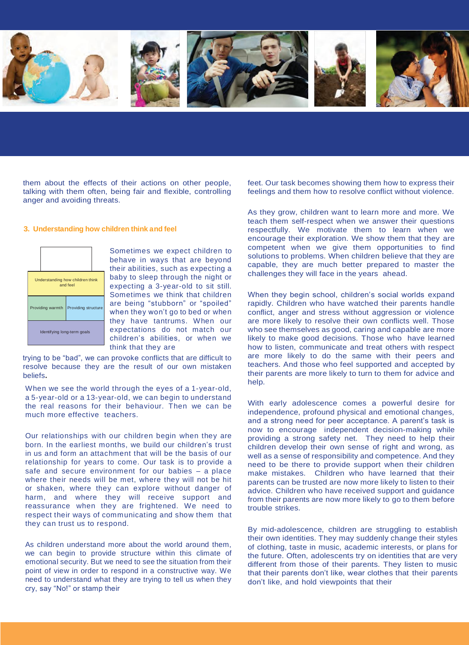

them about the effects of their actions on other people, talking with them often, being fair and flexible, controlling anger and avoiding threats.

#### **3. Understanding how children think and feel**

| Understanding how children think<br>and feel |                     |  |  |  |
|----------------------------------------------|---------------------|--|--|--|
| Providing warmth                             | Providing structure |  |  |  |
| Identifying long-term goals                  |                     |  |  |  |

Sometimes we expect children to behave in ways that are beyond their abilities, such as expecting a baby to sleep through the night or expecting a 3-year-old to sit still. Sometimes we think that children are being "stubborn" or "spoiled" when they won't go to bed or when they have tantrums. When our expectations do not match our children's abilities, or when we think that they are

trying to be "bad", we can provoke conflicts that are difficult to resolve because they are the result of our own mistaken beliefs**.**

When we see the world through the eyes of a 1-year-old, a 5-year-old or a 13-year-old, we can begin to understand the real reasons for their behaviour. Then we can be much more effective teachers.

Our relationships with our children begin when they are born. In the earliest months, we build our children's trust in us and form an attachment that will be the basis of our relationship for years to come. Our task is to provide a safe and secure environment for our babies – a place where their needs will be met, where they will not be hit or shaken, where they can explore without danger of harm, and where they will receive support and reassurance when they are frightened. We need to respect their ways of communicating and show them that they can trust us to respond.

As children understand more about the world around them, we can begin to provide structure within this climate of emotional security. But we need to see the situation from their point of view in order to respond in a constructive way. We need to understand what they are trying to tell us when they cry, say "No!" or stamp their

feet. Our task becomes showing them how to express their feelings and them how to resolve conflict without violence.

As they grow, children want to learn more and more. We teach them self-respect when we answer their questions respectfully. We motivate them to learn when we encourage their exploration. We show them that they are competent when we give them opportunities to find solutions to problems. When children believe that they are capable, they are much better prepared to master the challenges they will face in the years ahead.

When they begin school, children's social worlds expand rapidly. Children who have watched their parents handle conflict, anger and stress without aggression or violence are more likely to resolve their own conflicts well. Those who see themselves as good, caring and capable are more likely to make good decisions. Those who have learned how to listen, communicate and treat others with respect are more likely to do the same with their peers and teachers. And those who feel supported and accepted by their parents are more likely to turn to them for advice and help.

With early adolescence comes a powerful desire for independence, profound physical and emotional changes, and a strong need for peer acceptance. A parent's task is now to encourage independent decision-making while providing a strong safety net. They need to help their children develop their own sense of right and wrong, as well as a sense of responsibility and competence. And they need to be there to provide support when their children make mistakes. Children who have learned that their parents can be trusted are now more likely to listen to their advice. Children who have received support and guidance from their parents are now more likely to go to them before trouble strikes.

By mid-adolescence, children are struggling to establish their own identities. They may suddenly change their styles of clothing, taste in music, academic interests, or plans for the future. Often, adolescents try on identities that are very different from those of their parents. They listen to music that their parents don't like, wear clothes that their parents don't like, and hold viewpoints that their